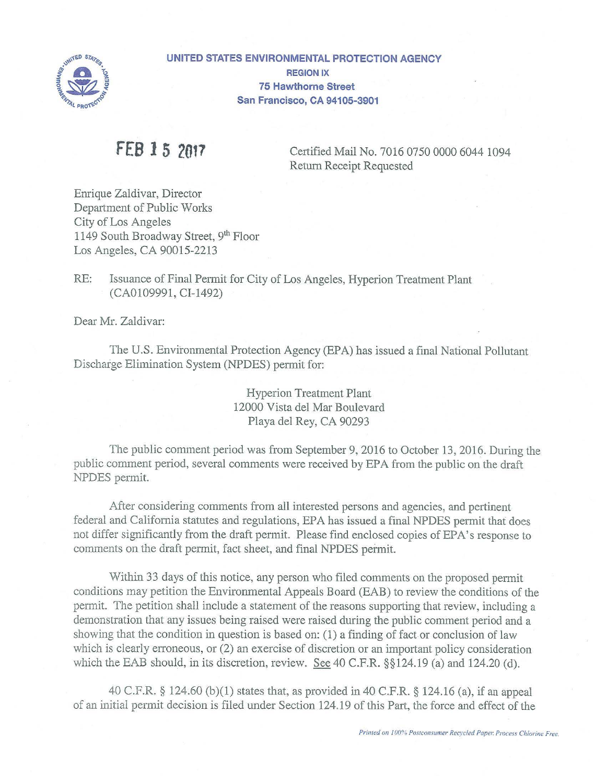

**UNITED STATES ENVIRONMENTAL PROTECTION AGENCY REGION IX 75 Hawthorne Street San Francisco, CA 94105-3901** 

**FEB 1 5 2017** Certified Mail No. 7016 0750 0000 6044 1094 Return Receipt Requested

Enrique Zaldivar, Director Department of Public Works City of Los Angeles 1149 South Broadway Street, 9<sup>th</sup> Floor Los Angeles, CA 90015-2213

RE: Issuance of Final Permit for City of Los Angeles, Hyperion Treatment Plant (CA0109991, CI-1492)

Dear Mr. Zaldivar:

The U.S. Environmental Protection Agency (EPA) has issued a final National Pollutant Discharge Elimination System (NPDES) permit for:

> Hyperion Treatment Plant 12000 Vista del Mar Boulevard Playa del Rey, CA 90293

The public comment period was from September 9, 2016 to October 13, 2016. During the public comment period, several comments were received by EPA from the public on the draft NPDES permit.

After considering comments from all interested persons and agencies, and pertinent federal and California statutes and regulations, EPA has issued a final NPDES permit that does not differ significantly from the draft permit. Please find enclosed copies of EPA's response to comments on the draft permit, fact sheet, and final NPDES permit.

Within 33 days of this notice, any person who filed comments on the proposed permit conditions may petition the Environmental Appeals Board (BAB) to review the conditions of the permit. The petition shall include a statement of the reasons supporting that review, including a demonstration that any issues being raised were raised during the public comment period and a showing that the condition in question is based on: (1) a finding of fact or conclusion of law which is clearly erroneous, or  $(2)$  an exercise of discretion or an important policy consideration which the EAB should, in its discretion, review. See 40 C.F.R. §§124.19 (a) and 124.20 (d).

40 C.F.R. § 124.60 (b)(l) states that, as provided in 40 C.F.R. § 124.16 (a), if an appeal of an initial permit decision is filed under Section 124.19 of this Part, the force and effect of the